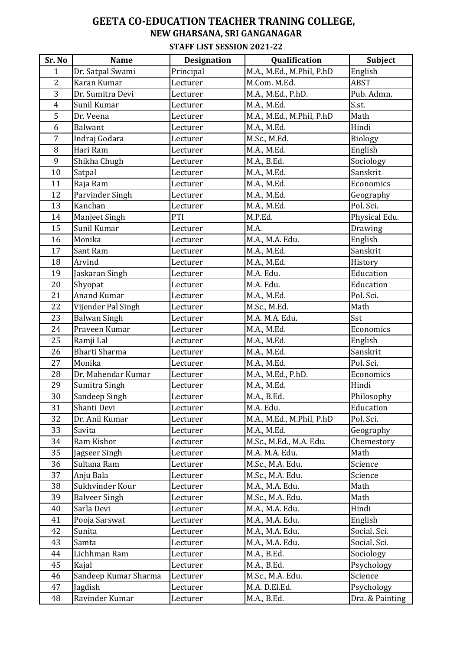## **GEETA CO-EDUCATION TEACHER TRANING COLLEGE, NEW GHARSANA, SRI GANGANAGAR**

## **STAFF LIST SESSION 2021-22**

| Sr. No         | <b>Name</b>          | <b>Designation</b> | Qualification             | <b>Subject</b>  |
|----------------|----------------------|--------------------|---------------------------|-----------------|
| $\mathbf{1}$   | Dr. Satpal Swami     | Principal          | M.A., M.Ed., M.Phil, P.hD | English         |
| $\overline{2}$ | Karan Kumar          | Lecturer           | M.Com. M.Ed.              | <b>ABST</b>     |
| 3              | Dr. Sumitra Devi     | Lecturer           | M.A., M.Ed., P.hD.        | Pub. Admn.      |
| 4              | Sunil Kumar          | Lecturer           | M.A., M.Ed.               | S.st.           |
| 5              | Dr. Veena            | Lecturer           | M.A., M.Ed., M.Phil, P.hD | Math            |
| 6              | Balwant              | Lecturer           | M.A., M.Ed.               | Hindi           |
| $\overline{7}$ | Indraj Godara        | Lecturer           | M.Sc., M.Ed.              | Biology         |
| 8              | Hari Ram             | Lecturer           | M.A., M.Ed.               | English         |
| 9              | Shikha Chugh         | Lecturer           | M.A., B.Ed.               | Sociology       |
| 10             | Satpal               | Lecturer           | M.A., M.Ed.               | Sanskrit        |
| 11             | Raja Ram             | Lecturer           | M.A., M.Ed.               | Economics       |
| 12             | Parvinder Singh      | Lecturer           | M.A., M.Ed.               | Geography       |
| 13             | Kanchan              | Lecturer           | M.A., M.Ed.               | Pol. Sci.       |
| 14             | Manjeet Singh        | PTI                | M.P.Ed.                   | Physical Edu.   |
| 15             | Sunil Kumar          | Lecturer           | M.A.                      | Drawing         |
| 16             | Monika               | Lecturer           | M.A., M.A. Edu.           | English         |
| 17             | Sant Ram             | Lecturer           | M.A., M.Ed.               | Sanskrit        |
| 18             | Arvind               | Lecturer           | M.A., M.Ed.               | History         |
| 19             | Jaskaran Singh       | Lecturer           | M.A. Edu.                 | Education       |
| 20             | Shyopat              | Lecturer           | M.A. Edu.                 | Education       |
| 21             | Anand Kumar          | Lecturer           | M.A., M.Ed.               | Pol. Sci.       |
| 22             | Vijender Pal Singh   | Lecturer           | M.Sc., M.Ed.              | Math            |
| 23             | <b>Balwan Singh</b>  | Lecturer           | M.A. M.A. Edu.            | Sst             |
| 24             | Praveen Kumar        | Lecturer           | M.A., M.Ed.               | Economics       |
| 25             | Ramji Lal            | Lecturer           | M.A., M.Ed.               | English         |
| 26             | <b>Bharti Sharma</b> | Lecturer           | M.A., M.Ed.               | Sanskrit        |
| 27             | Monika               | Lecturer           | M.A., M.Ed.               | Pol. Sci.       |
| 28             | Dr. Mahendar Kumar   | Lecturer           | M.A., M.Ed., P.hD.        | Economics       |
| 29             | Sumitra Singh        | Lecturer           | M.A., M.Ed.               | Hindi           |
| 30             | Sandeep Singh        | Lecturer           | M.A., B.Ed.               | Philosophy      |
| 31             | Shanti Devi          | Lecturer           | M.A. Edu.                 | Education       |
| 32             | Dr. Anil Kumar       | Lecturer           | M.A., M.Ed., M.Phil, P.hD | Pol. Sci.       |
| 33             | Savita               | Lecturer           | M.A., M.Ed.               | Geography       |
| 34             | Ram Kishor           | Lecturer           | M.Sc., M.Ed., M.A. Edu.   | Chemestory      |
| 35             | Jagseer Singh        | Lecturer           | M.A. M.A. Edu.            | Math            |
| 36             | Sultana Ram          | Lecturer           | M.Sc., M.A. Edu.          | Science         |
| 37             | Anju Bala            | Lecturer           | M.Sc., M.A. Edu.          | Science         |
| 38             | Sukhvinder Kour      | Lecturer           | M.A., M.A. Edu.           | Math            |
| 39             | <b>Balveer Singh</b> | Lecturer           | M.Sc., M.A. Edu.          | Math            |
| 40             | Sarla Devi           | Lecturer           | M.A., M.A. Edu.           | Hindi           |
| 41             | Pooja Sarswat        | Lecturer           | M.A., M.A. Edu.           | English         |
| 42             | Sunita               | Lecturer           | M.A., M.A. Edu.           | Social. Sci.    |
| 43             | Samta                | Lecturer           | M.A., M.A. Edu.           | Social. Sci.    |
| 44             | Lichhman Ram         | Lecturer           | M.A., B.Ed.               | Sociology       |
| 45             | Kajal                | Lecturer           | M.A., B.Ed.               | Psychology      |
| 46             | Sandeep Kumar Sharma | Lecturer           | M.Sc., M.A. Edu.          | Science         |
| 47             | Jagdish              | Lecturer           | M.A. D.El.Ed.             | Psychology      |
| 48             | Ravinder Kumar       | Lecturer           | M.A., B.Ed.               | Dra. & Painting |